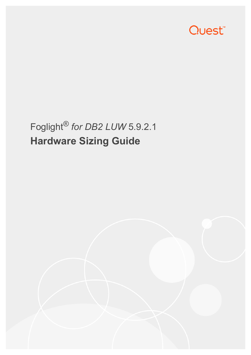

# Foglight® *for DB2 LUW* 5.9.2.1 **Hardware Sizing Guide**

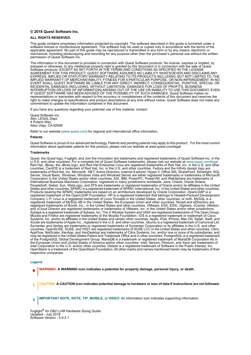#### **© 2018 Quest Software Inc.**

#### **ALL RIGHTS RESERVED.**

This guide contains proprietary information protected by copyright. The software described in this guide is furnished under a software license or nondisclosure agreement. This software may be used or copied only in accordance with the terms of the applicable agreement. No part of this guide may be reproduced or transmitted in any form or by any means, electronic or mechanical, including photocopying and recording for any purpose other than the purchaser's personal use without the written permission of Quest Software Inc.

The information in this document is provided in connection with Quest Software products. No license, express or implied, by estoppel or otherwise, to any intellectual property right is granted by this document or in connection with the sale of Quest<br>Software products. EXCEPT AS SET FORTH IN THE TERMS AND CONDITIONS AS SPECIFIED IN THE LICENSE<br>A EXPRESS, IMPLIED OR STATUTORY WARRANTY RELATING TO ITS PRODUCTS INCLUDING, BUT NOT LIMITED TO, THE<br>IMPLIED WARRANTY OF MERCHANTABILITY, FITNESS FOR A PARTICULAR PURPOSE, OR NON-INFRINGEMENT. IN NO<br>EVENT SHALL QUEST SOFTWAR INCIDENTAL DAMAGES (INCLUDING, WITHOUT LIMITATION, DAMAGES FOR LOSS OF PROFITS, BUSINESS<br>INTERRUPTION OR LOSS OF INFORMATION) ARISING OUT OF THE USE OR INABILITY TO USE THIS DOCUMENT, EVEN IF QUEST SOFTWARE HAS BEEN ADVISED OF THE POSSIBILITY OF SUCH DAMAGES. Quest Software makes no representations or warranties with respect to the accuracy or completeness of the contents of this document and reserves the right to make changes to specifications and product descriptions at any time without notice. Quest Software does not make any commitment to update the information contained in this document.

If you have any questions regarding your potential use of this material, contact:

Quest Software Inc. Attn: LEGAL Dept. 4 Polaris Way Aliso Viejo, CA 92656

Refer to our website [\(www.quest.com](http://www.quest.com)) for regional and international office information.

#### **Patents**

Quest Software is proud of our advanced technology. Patents and pending patents may apply to this product. For the most current information about applicable patents for this product, please visit our website at www.quest.com/legal.

#### **Trademarks**

Quest, the Quest logo, Foglight, and Join the Innovation are trademarks and registered trademarks of Quest Software Inc. in the U.S.A. and other countries. For a complete list of Quest Software trademarks, please visit our website at [www.quest.com/legal](http://www.quest.com/legal).<br>Red Hat, JBoss, the JBoss logo, and Red Hat Enterprise Linux are registered trademarks of Red H countries. CentOS is a trademark of Red Hat, Inc. in the U.S. and other countries. Fedora and the Infinity design logo are trademarks of Red Hat, Inc. Microsoft, .NET, Active Directory, Internet Explorer, Hyper-V, Office 365, SharePoint, Silverlight, SQL<br>Server, Visual Basic, Windows, Windows Vista and Windows Server are either registered trad Corporation in the United States and/or other countries. AIX, IBM, PowerPC, PowerVM, and WebSphere are trademarks of International Business Machines Corporation, registered in many jurisdictions worldwide. Java, Oracle, Oracle Solaris, PeopleSoft, Siebel, Sun, WebLogic, and ZFS are trademarks or registered trademarks of Oracle and/or its affiliates in the United<br>States and other countries. SPARC is a registered trademark of SPARC International, Inc. in t Products bearing the SPARC trademarks are based on an architecture developed by Oracle Corporation. OpenLDAP is a<br>registered trademark of the OpenLDAP Foundation. HP is a registered trademark that belongs to Hewlett-Packar Company, L.P. Linux is a registered trademark of Linus Torvalds in the United States, other countries, or both. MySQL is a registered trademark of MySQL AB in the United States, the European Union and other countries. Novell and eDirectory are registered trademarks of Novell, Inc., in the United States and other countries. VMware, ESX, ESXi, vSphere, vCenter, vMotion, and vCloud Director are registered trademarks or trademarks of VMware, Inc. in the United States and/or other jurisdictions. Sybase is a registered trademark of Sybase, Inc. The X Window System and UNIX are registered trademarks of The Open Group. Mozilla and Firefox are registered trademarks of the Mozilla Foundation. IOS is a registered trademark or trademark of Cisco<br>Systems, Inc. and/or its affiliates in the United States and certain other countries. Apple, iPad Xcode are trademarks of Apple Inc., registered in the U.S. and other countries. Ubuntu is a registered trademark of Canonical Ltd. Symantec and Veritas are trademarks or registered trademarks of Symantec Corporation or its affiliates in the U.S. and other<br>countries. OpenSUSE, SUSE, and YAST are registered trademarks of SUSE LCC in the United States an AppFlow, NetScaler, XenApp, and XenDesktop are trademarks of Citrix Systems, Inc. and/or one or more of its subsidiaries, and<br>may be registered in the United States Patent and Trademark Office and in other countries. Postg the European Union and United States of America and/or other countries. Intel, Itanium, Pentium, and Xeon are trademarks of Intel Corporation in the U.S. and/or other countries. Debian is a registered trademark of Software in the Public Interest, Inc. OpenStack is a trademark of the OpenStack Foundation. All other marks and names mentioned herein may be trademarks of their respective companies.

#### **Legend**

**WARNING: A WARNING icon indicates a potential for property damage, personal injury, or death.**

**CAUTION: A CAUTION icon indicates potential damage to hardware or loss of data if instructions are not followed.** Ţ

**IMPORTANT NOTE**, **NOTE**, **TIP**, **MOBILE**, or **VIDEO:** An information icon indicates supporting information.÷

Foglight® *for DB2 LUW* Hardware Sizing Guide Updated - July 2018 Software Version - 5.9.2.1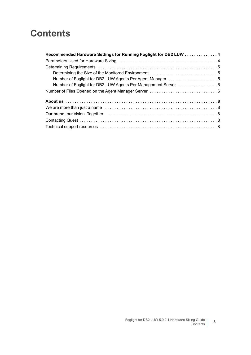### **Contents**

| Recommended Hardware Settings for Running Foglight for DB2 LUW 4 |  |
|------------------------------------------------------------------|--|
|                                                                  |  |
|                                                                  |  |
|                                                                  |  |
| Number of Foglight for DB2 LUW Agents Per Agent Manager 5        |  |
| Number of Foglight for DB2 LUW Agents Per Management Server 6    |  |
|                                                                  |  |
|                                                                  |  |
|                                                                  |  |
|                                                                  |  |
|                                                                  |  |
|                                                                  |  |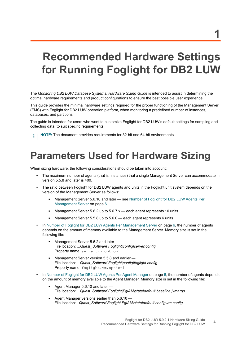## <span id="page-3-0"></span>**Recommended Hardware Settings for Running Foglight for DB2 LUW**

The *Monitoring DB2 LUW Database Systems: Hardware Sizing Guide* is intended to assist in determining the optimal hardware requirements and product configurations to ensure the best possible user experience.

This guide provides the minimal hardware settings required for the proper functioning of the Management Server (FMS) with Foglight for DB2 LUW operation platform, when monitoring a predefined number of instances, databases, and partitions.

The guide is intended for users who want to customize Foglight for DB2 LUW's default settings for sampling and collecting data, to suit specific requirements.

**i** | NOTE: The document provides requirements for 32-bit and 64-bit environments.

### <span id="page-3-1"></span>**Parameters Used for Hardware Sizing**

When sizing hardware, the following considerations should be taken into account:

- **•** The maximum number of agents (that is, instances) that a single Management Server can accommodate in version 5.5.8 and later is 400.
- **•** The ratio between Foglight for DB2 LUW agents and units in the Foglight unit system depends on the version of the Management Server as follows:
	- **Management Server 5.6.10 and later see Number of Foglight for DB2 LUW Agents Per** [Management Server on page 6](#page-5-0).
	- **▪** Management Server 5.6.2 up to 5.6.7.x each agent represents 10 units
	- Management Server 5.5.8 up to 5.6.0 each agent represents 6 units
- **•** In [Number of Foglight for DB2 LUW Agents Per Management Server on page 6,](#page-5-0) the number of agents depends on the amount of memory available to the Management Server. Memory size is set in the following file:
	- **▪** Management Server 5.6.2 and later File location: *...Quest\_Software\Foglight|config\server.config* Property name: server.vm.option1
	- **▪** Management Server version 5.5.8 and earlier File location: *...Quest\_Software\Foglight|config\foglight.config* Property name: foglight.vm.option1
- **•** In [Number of Foglight for DB2 LUW Agents Per Agent Manager on page 5](#page-4-2), the number of agents depends on the amount of memory available to the Agent Manager. Memory size is set in the following file:
	- **▪** Agent Manager 5.6.10 and later File location: *...Quest\_Software\Foglight|FglAM\state\default\baseline.jvmargs*
	- **▪** Agent Manager versions earlier than 5.6.10 File location:*...Quest\_Software\Foglight|FglAM\state\default\config\vm.config*

**4**

**1**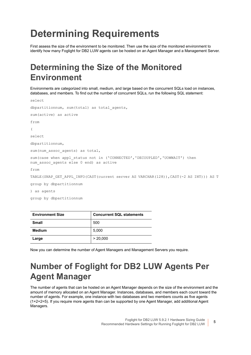## <span id="page-4-0"></span>**Determining Requirements**

First assess the size of the environment to be monitored. Then use the size of the monitored environment to identify how many Foglight for DB2 LUW agents can be hosted on an Agent Manager and a Management Server.

### <span id="page-4-1"></span>**Determining the Size of the Monitored Environment**

Environments are categorized into small, medium, and large based on the concurrent SQLs load on instances, databases, and members. To find out the number of concurrent SQLs, run the following SQL statement:

```
select
dbpartitionnum, sum (total) as total agents,
sum(active) as active
from
\left(select
dbpartitionnum,
sum(num assoc agents) as total,
sum(case when appl status not in ('CONNECTED','DECOUPLED','UOWWAIT') then
num assoc agents else 0 end) as active
from
TABLE(SNAP GET APPL INFO(CAST(current server AS VARCHAR(128)), CAST(-2 AS INT))) AS T
group by dbpartitionnum
) as agents
group by dbpartitionnum
```

| <b>Environment Size</b> | <b>Concurrent SQL statements</b> |  |  |  |
|-------------------------|----------------------------------|--|--|--|
| <b>Small</b>            | 500                              |  |  |  |
| Medium                  | 5,000                            |  |  |  |
| Large                   | > 20,000                         |  |  |  |

Now you can determine the number of Agent Managers and Management Servers you require.

#### <span id="page-4-2"></span>**Number of Foglight for DB2 LUW Agents Per Agent Manager**

The number of agents that can be hosted on an Agent Manager depends on the size of the environment and the amount of memory allocated on an Agent Manager. Instances, databases, and members each count toward the number of agents. For example, one instance with two databases and two members counts as five agents (1+2+2=5). If you require more agents than can be supported by one Agent Manager, add additional Agent Managers.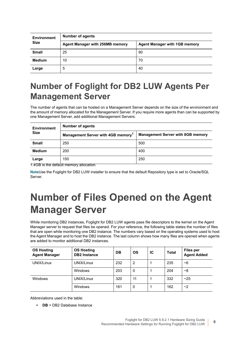| <b>Environment</b> | <b>Number of agents</b>         |                                      |  |  |  |  |
|--------------------|---------------------------------|--------------------------------------|--|--|--|--|
| <b>Size</b>        | Agent Manager with 256MB memory | <b>Agent Manager with 1GB memory</b> |  |  |  |  |
| <b>Small</b>       | 25                              | 90                                   |  |  |  |  |
| <b>Medium</b>      | 10                              | 70                                   |  |  |  |  |
| Large              | 5                               | 40                                   |  |  |  |  |

#### <span id="page-5-0"></span>**Number of Foglight for DB2 LUW Agents Per Management Server**

The number of agents that can be hosted on a Management Server depends on the size of the environment and the amount of memory allocated for the Management Server. If you require more agents than can be supported by one Management Server, add additional Management Servers.

| <b>Environment</b><br><b>Size</b> | <b>Number of agents</b>                        |                                          |  |  |  |  |
|-----------------------------------|------------------------------------------------|------------------------------------------|--|--|--|--|
|                                   | Management Server with 4GB memory <sup>1</sup> | <b>Management Server with 8GB memory</b> |  |  |  |  |
| <b>Small</b>                      | 250                                            | 500                                      |  |  |  |  |
| <b>Medium</b>                     | 200                                            | 400                                      |  |  |  |  |
| Large                             | 150                                            | 250                                      |  |  |  |  |

1.4GB is the default memory allocation.

**Note**Use the Foglight for DB2 LUW installer to ensure that the default Repository type is set to Oracle/SQL Server.

### <span id="page-5-1"></span>**Number of Files Opened on the Agent Manager Server**

While monitoring DB2 instances, Foglight for DB2 LUW agents pass file descriptors to the kernel on the Agent Manager server to request that files be opened. For your reference, the following table states the number of files that are open while monitoring one DB2 instance. The numbers vary based on the operating systems used to host the Agent Manager and to host the DB2 instance. The last column shows how many files are opened when agents are added to monitor additional DB2 instances.

| <b>OS Hosting</b><br><b>Agent Manager</b> | <b>OS Hosting</b><br><b>DB2</b> Instance | DB  | <b>OS</b> | IС | <b>Total</b> | <b>Files per</b><br><b>Agent Added</b> |
|-------------------------------------------|------------------------------------------|-----|-----------|----|--------------|----------------------------------------|
| UNIX/Linux                                | UNIX/Linux                               | 232 | 2         |    | 235          | ~6                                     |
|                                           | Windows                                  | 203 | 0         |    | 204          | ~8                                     |
| <b>Windows</b>                            | UNIX/Linux                               | 320 | 11        |    | 332          | ~25                                    |
|                                           | Windows                                  | 161 | 0         |    | 162          | ~2                                     |

Abbreviations used in the table:

**• DB** = DB2 Database Instance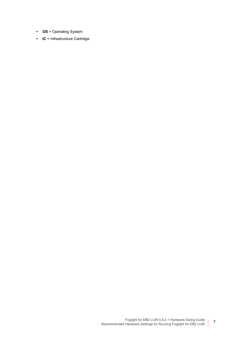- **OS** = Operating System
- **IC** = Infrastructure Cartridge